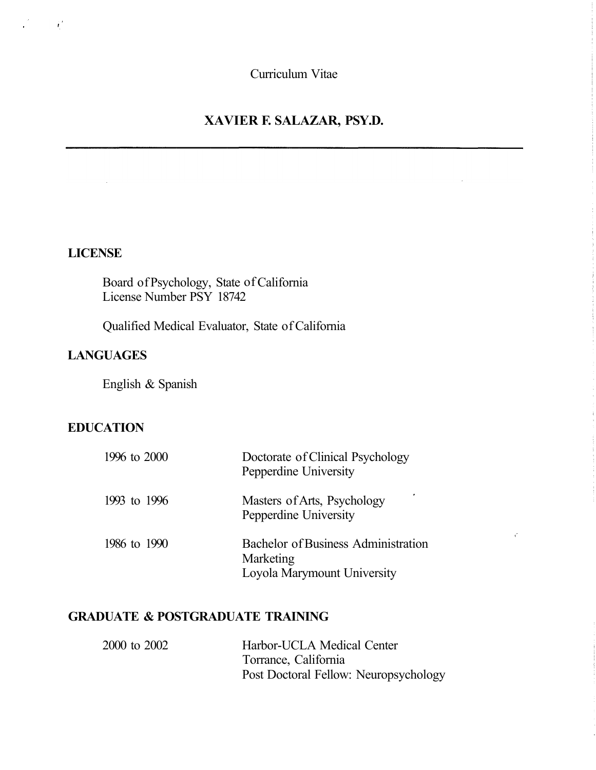Curriculum Vitae

# **XAVIER F. SALAZAR, PSY.D.**

#### **LICENSE**

 $\mathcal{L}^{\text{max}}$ 

Board of Psychology, State of California License Number PSY 18742

Qualified Medical Evaluator, State of California

# **LANGUAGES**

English & Spanish

## **EDUCATION**

| 1996 to 2000 | Doctorate of Clinical Psychology<br>Pepperdine University                       |
|--------------|---------------------------------------------------------------------------------|
| 1993 to 1996 | Masters of Arts, Psychology<br>Pepperdine University                            |
| 1986 to 1990 | Bachelor of Business Administration<br>Marketing<br>Loyola Marymount University |

 $\hat{C}$ 

# **GRADUATE & POSTGRADUATE TRAINING**

| 2000 to 2002 | Harbor-UCLA Medical Center            |
|--------------|---------------------------------------|
|              | Torrance, California                  |
|              | Post Doctoral Fellow: Neuropsychology |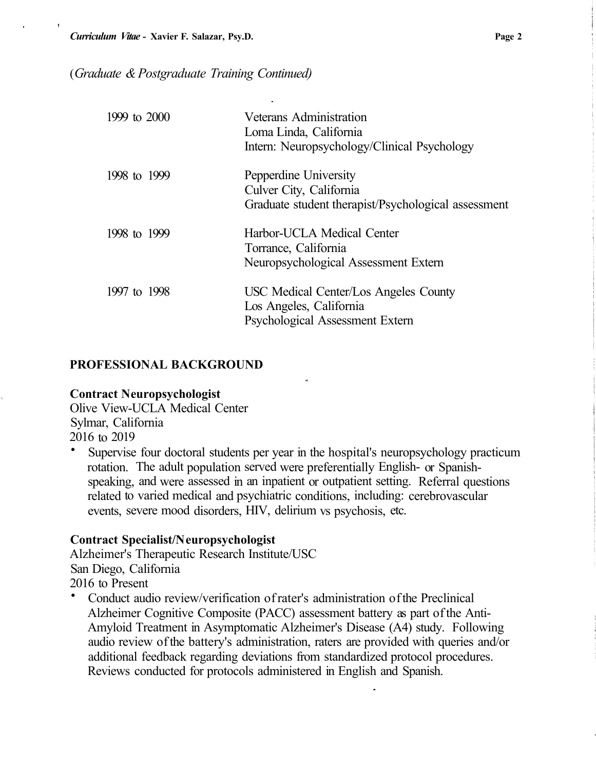#### ( *Graduate & Postgraduate Training Continued)*

| 1999 to $2000$ | Veterans Administration<br>Loma Linda, California<br>Intern: Neuropsychology/Clinical Psychology        |
|----------------|---------------------------------------------------------------------------------------------------------|
| 1998 to 1999   | Pepperdine University<br>Culver City, California<br>Graduate student therapist/Psychological assessment |
| 1998 to 1999   | Harbor-UCLA Medical Center<br>Torrance, California<br>Neuropsychological Assessment Extern              |
| 1997 to 1998   | USC Medical Center/Los Angeles County<br>Los Angeles, California<br>Psychological Assessment Extern     |

#### **PROFESSIONAL BACKGROUND**

#### **Contract Neuropsychologist**

Olive View-UCLA Medical Center Sylmar, California 2016 to 2019

• Supervise four doctoral students per year in the hospital's neuropsychology practicum rotation. The adult population served were preferentially English- or Spanishspeaking, and were assessed in an inpatient or outpatient setting. Referral questions related to varied medical and psychiatric conditions, including: cerebrovascular events, severe mood disorders, HIV, delirium vs psychosis, etc.

#### **Contract Specialist/N europsychologist**

Alzheimer's Therapeutic Research Institute/USC San Diego, California 2016 to Present

• Conduct audio review/verification of rater's administration of the Preclinical Alzheimer Cognitive Composite (PACC) assessment battery as part of the Anti-Amyloid Treatment in Asymptomatic Alzheimer's Disease (A4) study. Following audio review of the battery's administration, raters are provided with queries and/or additional feedback regarding deviations from standardized protocol procedures. Reviews conducted for protocols administered in English and Spanish.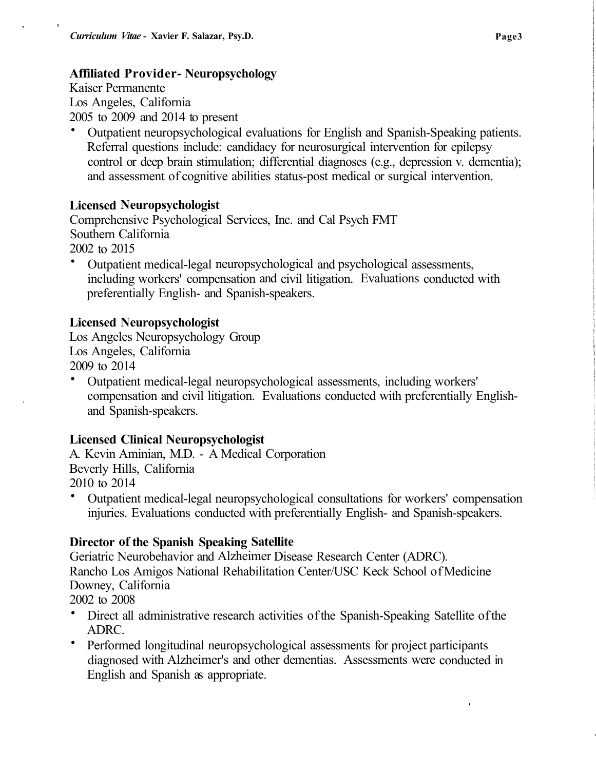## **Affiliated Provider- Neuropsychology**

Kaiser Permanente Los Angeles, California 2005 to 2009 and 2014 to present

• Outpatient neuropsychological evaluations for English and Spanish-Speaking patients. Referral questions include: candidacy for neurosurgical intervention for epilepsy control or deep brain stimulation; differential diagnoses (e.g., depression v. dementia); and assessment of cognitive abilities status-post medical or surgical intervention.

### **Licensed Neuropsychologist**

Comprehensive Psychological Services, Inc. and Cal Psych FMT Southern California 2002 to 2015

• Outpatient medical-legal neuropsychological and psychological assessments, including workers' compensation and civil litigation. Evaluations conducted with preferentially English- and Spanish-speakers.

## Licensed Neuropsychologist

Los Angeles Neuropsychology Group Los Angeles, California 2009 to 2014

• Outpatient medical-legal neuropsychological assessments, including workers' compensation and civil litigation. Evaluations conducted with preferentially Englishand Spanish-speakers.

### **Licensed Clinical Neuropsychologist**

A. Kevin Aminian, M.D. - A Medical Corporation Beverly Hills, California 2010 to 2014

• Outpatient medical-legal neuropsychological consultations for workers' compensation injuries. Evaluations conducted with preferentially English- and Spanish-speakers.

### **Director of the Spanish Speaking Satellite**

Geriatric Neurobehavior and Alzheimer Disease Research Center (ADRC). Rancho Los Amigos National Rehabilitation Center/USC Keck School of Medicine Downey, California

- 2002 to 2008
- Direct all administrative research activities of the Spanish-Speaking Satellite of the ADRC.
- Performed longitudinal neuropsychological assessments for project participants diagnosed with Alzheimer's and other dementias. Assessments were conducted in English and Spanish as appropriate.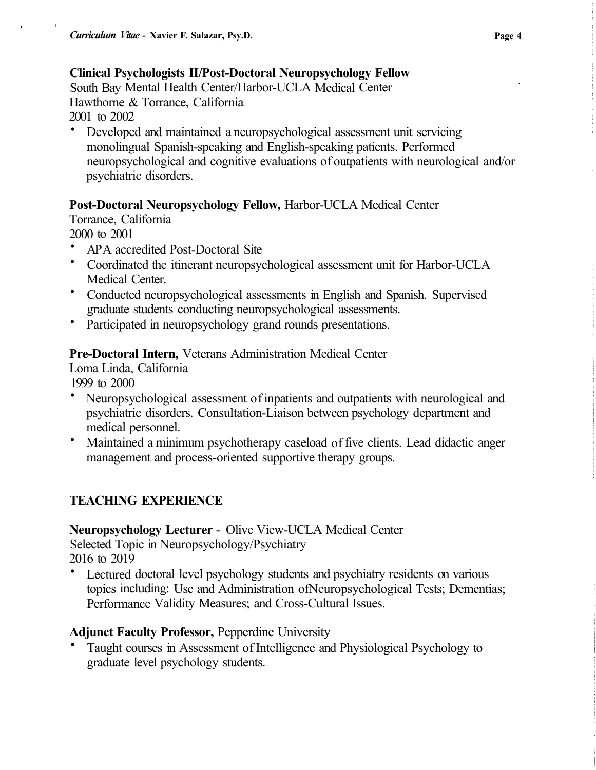# **Clinical Psychologists II/Post-Doctoral Neuropsychology Fellow**

South Bay Mental Health Center/Harbor-UCLA Medical Center Hawthorne & Torrance, California 2001 to 2002

• Developed and maintained a neuropsychological assessment unit servicing monolingual Spanish-speaking and English-speaking patients. Performed neuropsychological and cognitive evaluations of outpatients with neurological and/or psychiatric disorders.

# **Post-Doctoral Neuropsychology Fellow,** Harbor-UCLA Medical Center

Torrance, California

2000 to 2001

- AP A accredited Post-Doctoral Site
- Coordinated the itinerant neuropsychological assessment unit for Harbor-UCLA Medical Center.
- Conducted neuropsychological assessments in English and Spanish. Supervised graduate students conducting neuropsychological assessments.
- Participated in neuropsychology grand rounds presentations.

# **Pre-Doctoral Intern,** Veterans Administration Medical Center

Loma Linda, California

1999 to 2000

- Neuropsychological assessment of inpatients and outpatients with neurological and psychiatric disorders. Consultation-Liaison between psychology department and medical personnel.
- Maintained a minimum psychotherapy caseload of five clients. Lead didactic anger management and process-oriented supportive therapy groups.

# **TEACHING EXPERIENCE**

# **Neuropsychology Lecturer** - Olive View-UCLA Medical Center

Selected Topic in Neuropsychology/Psychiatry 2016 to 2019

Lectured doctoral level psychology students and psychiatry residents on various topics including: Use and Administration ofNeuropsychological Tests; Dementias; Performance Validity Measures; and Cross-Cultural Issues.

# **Adjunct Faculty Professor,** Pepperdine University

• Taught courses in Assessment of Intelligence and Physiological Psychology to graduate level psychology students.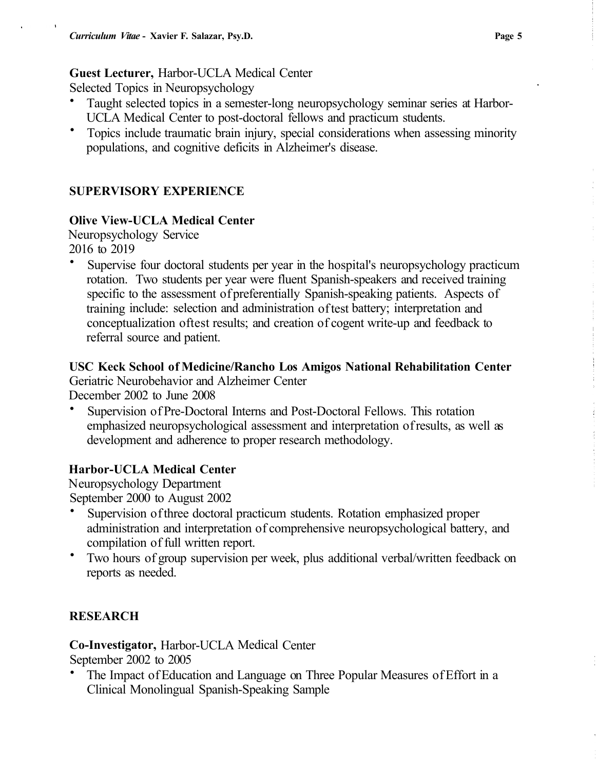#### **Guest Lecturer,** Harbor-UCLA Medical Center

Selected Topics in Neuropsychology

- Taught selected topics in a semester-long neuropsychology seminar series at Harbor-UCLA Medical Center to post-doctoral fellows and practicum students.
- Topics include traumatic brain injury, special considerations when assessing minority populations, and cognitive deficits in Alzheimer's disease.

## **SUPERVISORY EXPERIENCE**

### **Olive View-UCLA Medical Center**

Neuropsychology Service 2016 to 2019

• Supervise four doctoral students per year in the hospital's neuropsychology practicum rotation. Two students per year were fluent Spanish-speakers and received training specific to the assessment of preferentially Spanish-speaking patients. Aspects of training include: selection and administration of test battery; interpretation and conceptualization oftest results; and creation of cogent write-up and feedback to referral source and patient.

**USC Keck School of Medicine/Rancho Los Amigos National Rehabilitation Center**  Geriatric Neurobehavior and Alzheimer Center

December 2002 to June 2008

• Supervision of Pre-Doctoral Interns and Post-Doctoral Fellows. This rotation emphasized neuropsychological assessment and interpretation of results, as well as development and adherence to proper research methodology.

### **Harbor-UCLA Medical Center**

Neuropsychology Department September 2000 to August 2002

- Supervision of three doctoral practicum students. Rotation emphasized proper administration and interpretation of comprehensive neuropsychological battery, and compilation of full written report.
- Two hours of group supervision per week, plus additional verbal/written feedback on reports as needed.

# **RESEARCH**

**Co-Investigator,** Harbor-UCLA Medical Center

September 2002 to 2005

• The Impact of Education and Language on Three Popular Measures of Effort in a Clinical Monolingual Spanish-Speaking Sample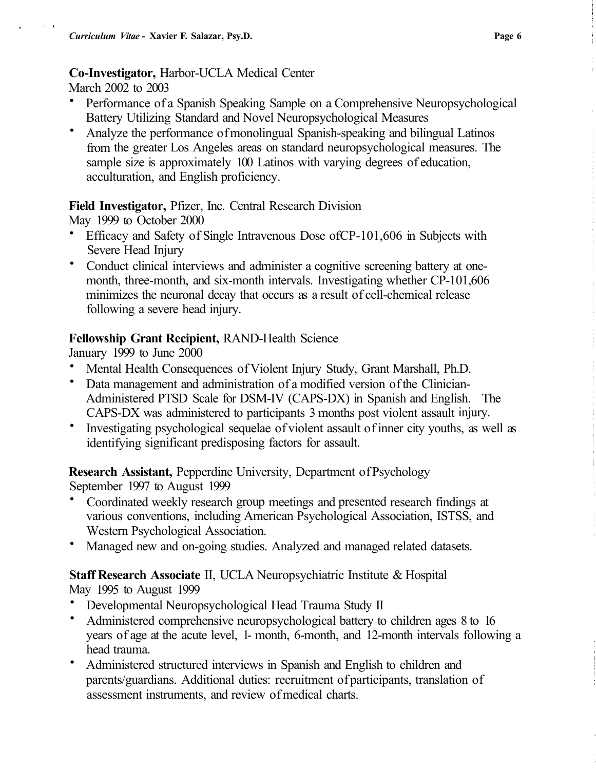#### **Co-Investigator,** Harbor-UCLA Medical Center

March 2002 to 2003

- Performance of a Spanish Speaking Sample on a Comprehensive Neuropsychological Battery Utilizing Standard and Novel Neuropsychological Measures
- Analyze the performance of monolingual Spanish-speaking and bilingual Latinos from the greater Los Angeles areas on standard neuropsychological measures. The sample size is approximately 100 Latinos with varying degrees of education, acculturation, and English proficiency.

#### **Field Investigator,** Pfizer, Inc. Central Research Division

May 1999 to October 2000

- Efficacy and Safety of Single Intravenous Dose ofCP-101,606 in Subjects with Severe Head Injury
- Conduct clinical interviews and administer a cognitive screening battery at onemonth, three-month, and six-month intervals. Investigating whether CP-101,606 minimizes the neuronal decay that occurs as a result of cell-chemical release following a severe head injury.

### **Fellowship Grant Recipient,** RAND-Health Science

January 1999 to June 2000

- Mental Health Consequences of Violent Injury Study, Grant Marshall, Ph.D.
- Data management and administration of a modified version of the Clinician-Administered PTSD Scale for DSM-IV (CAPS-DX) in Spanish and English. The CAPS-DX was administered to participants 3 months post violent assault injury.
- Investigating psychological sequelae of violent assault of inner city youths, as well as identifying significant predisposing factors for assault.

**Research Assistant,** Pepperdine University, Department of Psychology September 1997 to August 1999

- Coordinated weekly research group meetings and presented research findings at various conventions, including American Psychological Association, ISTSS, and Western Psychological Association.
- Managed new and on-going studies. Analyzed and managed related datasets.

### **Staff Research Associate** II, UCLA Neuropsychiatric Institute & Hospital May 1995 to August 1999

- Developmental Neuropsychological Head Trauma Study II
- Administered comprehensive neuropsychological battery to children ages 8 to 16 years of age at the acute level, 1- month, 6-month, and 12-month intervals following a head trauma.
- Administered structured interviews in Spanish and English to children and parents/guardians. Additional duties: recruitment of participants, translation of assessment instruments, and review of medical charts.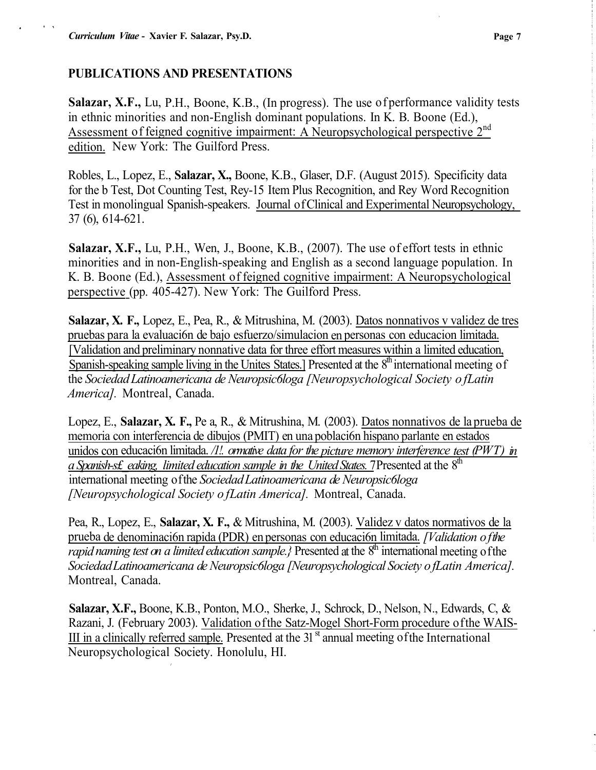#### **PUBLICATIONS AND PRESENTATIONS**

**Salazar, X.F.,** Lu, P.H., Boone, K.B., (In progress). The use of performance validity tests in ethnic minorities and non-English dominant populations. In K. B. Boone (Ed.), Assessment of feigned cognitive impairment: A Neuropsychological perspective 2<sup>nd</sup> edition. New York: The Guilford Press.

Robles, L., Lopez, E., **Salazar, X.,** Boone, K.B., Glaser, D.F. (August 2015). Specificity data for the b Test, Dot Counting Test, Rey-15 Item Plus Recognition, and Rey Word Recognition Test in monolingual Spanish-speakers. Journal of Clinical and Experimental Neuropsychology,\_ 37 (6), 614-621.

**Salazar, X.F.,** Lu, P.H., Wen, J., Boone, K.B., (2007). The use of effort tests in ethnic minorities and in non-English-speaking and English as a second language population. In K. B. Boone (Ed.), Assessment of feigned cognitive impairment: A Neuropsychological perspective (pp. 405-427). New York: The Guilford Press.

**Salazar, X. F.,** Lopez, E., Pea, R., & Mitrushina, M. (2003). Datos nonnativos v validez de tres pruebas para la evaluaci6n de bajo esfuerzo/simulacion en personas con educacion limitada. [Validation and preliminary nonnative data for three effort measures within a limited education, Spanish-speaking sample living in the Unites States.] Presented at the 8<sup>th</sup> international meeting of the *Sociedad Latinoamericana de Neuropsic6loga [Neuropsychological Society of Latin America].* Montreal, Canada.

Lopez, E., **Salazar, X. F.,** Pe a, R., & Mitrushina, M. (2003). Datos nonnativos de la prueba de memoria con interferencia de dibujos (PMIT) en una poblaci6n hispano parlante en estados unidos con educación limitada. */1!. ormative data for the picture memory interference test (PWT) in* a Spanish-s£\_eaking, limited education sample in the United States. 7 Presented at the 8<sup>th</sup> international meeting of the *Sociedad Latinoamericana de Neuropsic6loga [Neuropsychological Society of Latin America].* Montreal, Canada.

Pea, R., Lopez, E., **Salazar, X. F.,** & Mitrushina, M. (2003). Validez v datos normativos de la prueba de denominaci6n rapida (PDR) en personas con educaci6n limitada. *[Validation of the*  rapid naming test on a limited education sample.} Presented at the 8<sup>th</sup> international meeting of the *Sociedad Latinoamericana de Neuropsic6loga [Neuropsychological Society of Latin America].*  Montreal, Canada.

**Salazar, X.F.,** Boone, K.B., Ponton, M.O., Sherke, J., Schrock, D., Nelson, N., Edwards, C, & Razani, J. (February 2003). Validation of the Satz-Mogel Short-Form procedure of the WAIS-III in a clinically referred sample. Presented at the  $31<sup>st</sup>$  annual meeting of the International Neuropsychological Society. Honolulu, HI.